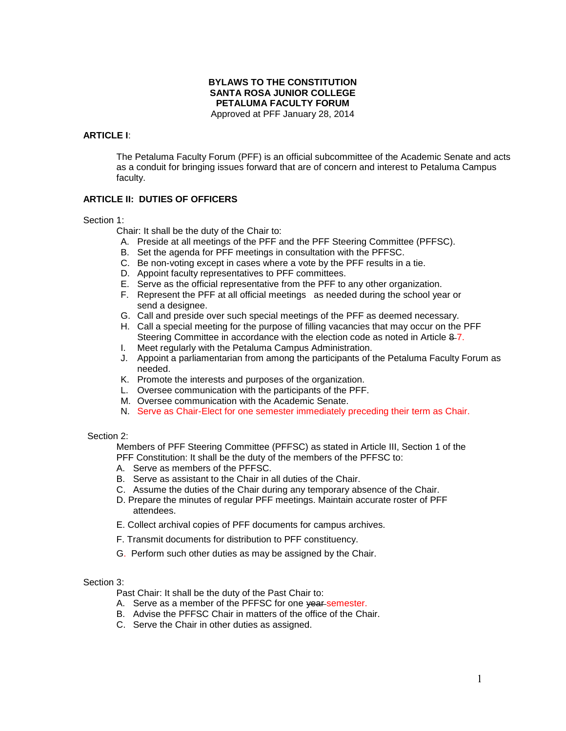# **BYLAWS TO THE CONSTITUTION SANTA ROSA JUNIOR COLLEGE PETALUMA FACULTY FORUM**

Approved at PFF January 28, 2014

# **ARTICLE I**:

The Petaluma Faculty Forum (PFF) is an official subcommittee of the Academic Senate and acts as a conduit for bringing issues forward that are of concern and interest to Petaluma Campus faculty.

# **ARTICLE II: DUTIES OF OFFICERS**

### Section 1:

Chair: It shall be the duty of the Chair to:

- A. Preside at all meetings of the PFF and the PFF Steering Committee (PFFSC).
- B. Set the agenda for PFF meetings in consultation with the PFFSC.
- C. Be non-voting except in cases where a vote by the PFF results in a tie.
- D. Appoint faculty representatives to PFF committees.
- E. Serve as the official representative from the PFF to any other organization.
- F. Represent the PFF at all official meetings as needed during the school year or send a designee.
- G. Call and preside over such special meetings of the PFF as deemed necessary.
- H. Call a special meeting for the purpose of filling vacancies that may occur on the PFF Steering Committee in accordance with the election code as noted in Article 8-7.
- I. Meet regularly with the Petaluma Campus Administration. J. Appoint a parliamentarian from among the participants of the Petaluma Faculty Forum as
- needed. K. Promote the interests and purposes of the organization.
- L. Oversee communication with the participants of the PFF.
- M. Oversee communication with the Academic Senate.
- N. Serve as Chair-Elect for one semester immediately preceding their term as Chair.

#### Section 2:

Members of PFF Steering Committee (PFFSC) as stated in Article III, Section 1 of the PFF Constitution: It shall be the duty of the members of the PFFSC to:

- A. Serve as members of the PFFSC.
- B. Serve as assistant to the Chair in all duties of the Chair.
- C. Assume the duties of the Chair during any temporary absence of the Chair.
- D. Prepare the minutes of regular PFF meetings. Maintain accurate roster of PFF attendees.
- E. Collect archival copies of PFF documents for campus archives.
- F. Transmit documents for distribution to PFF constituency.
- G. Perform such other duties as may be assigned by the Chair.

#### Section 3:

Past Chair: It shall be the duty of the Past Chair to:

- A. Serve as a member of the PFFSC for one year semester.
- B. Advise the PFFSC Chair in matters of the office of the Chair.
- C. Serve the Chair in other duties as assigned.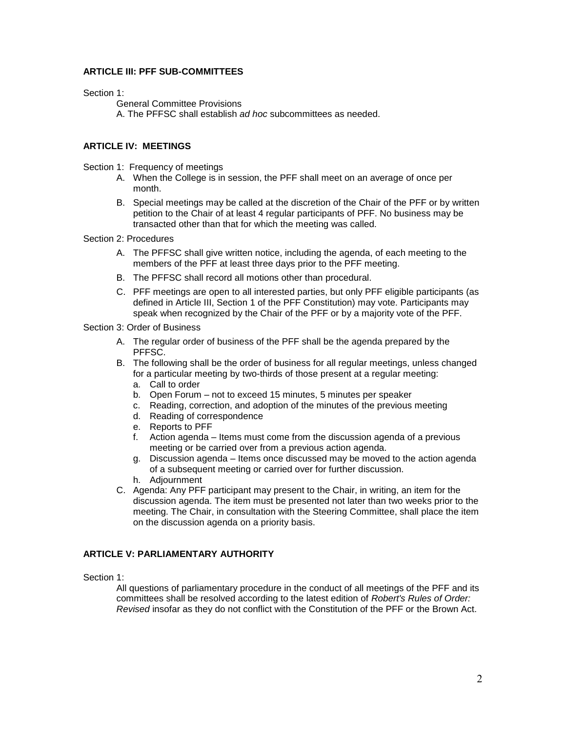# **ARTICLE III: PFF SUB-COMMITTEES**

### Section 1:

General Committee Provisions A. The PFFSC shall establish *ad hoc* subcommittees as needed.

# **ARTICLE IV: MEETINGS**

Section 1: Frequency of meetings

- A. When the College is in session, the PFF shall meet on an average of once per month.
- B. Special meetings may be called at the discretion of the Chair of the PFF or by written petition to the Chair of at least 4 regular participants of PFF. No business may be transacted other than that for which the meeting was called.

Section 2: Procedures

- A. The PFFSC shall give written notice, including the agenda, of each meeting to the members of the PFF at least three days prior to the PFF meeting.
- B. The PFFSC shall record all motions other than procedural.
- C. PFF meetings are open to all interested parties, but only PFF eligible participants (as defined in Article III, Section 1 of the PFF Constitution) may vote. Participants may speak when recognized by the Chair of the PFF or by a majority vote of the PFF.

### Section 3: Order of Business

- A. The regular order of business of the PFF shall be the agenda prepared by the PFFSC.
- B. The following shall be the order of business for all regular meetings, unless changed for a particular meeting by two-thirds of those present at a regular meeting:
	- a. Call to order
	- b. Open Forum not to exceed 15 minutes, 5 minutes per speaker
	- c. Reading, correction, and adoption of the minutes of the previous meeting
	- d. Reading of correspondence
	- e. Reports to PFF
	- f. Action agenda Items must come from the discussion agenda of a previous meeting or be carried over from a previous action agenda.
	- g. Discussion agenda Items once discussed may be moved to the action agenda of a subsequent meeting or carried over for further discussion.
	- h. Adjournment
- C. Agenda: Any PFF participant may present to the Chair, in writing, an item for the discussion agenda. The item must be presented not later than two weeks prior to the meeting. The Chair, in consultation with the Steering Committee, shall place the item on the discussion agenda on a priority basis.

# **ARTICLE V: PARLIAMENTARY AUTHORITY**

Section 1:

All questions of parliamentary procedure in the conduct of all meetings of the PFF and its committees shall be resolved according to the latest edition of *Robert's Rules of Order: Revised* insofar as they do not conflict with the Constitution of the PFF or the Brown Act.